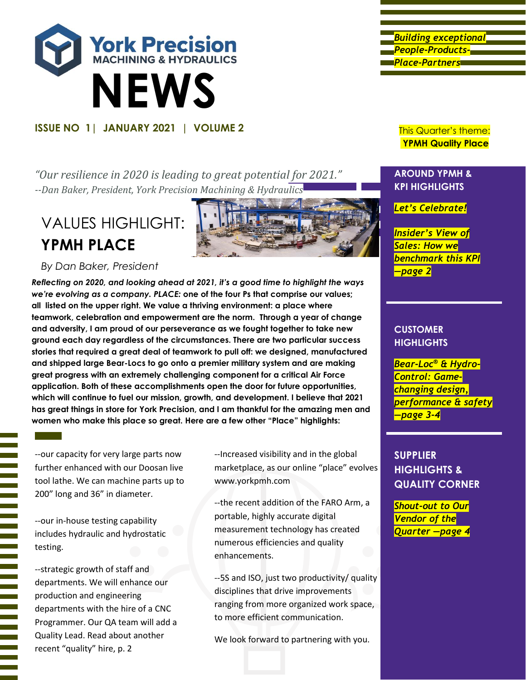

*"Our resilience in 2020 is leading to great potential for 2021." --Dan Baker, President, York Precision Machining & Hydraulics*

# VALUES HIGHLIGHT: **YPMH PLACE**



## *By Dan Baker, President*

*Reflecting on 2020, and looking ahead at 2021, it's a good time to highlight the ways we're evolving as a company. PLACE:* **one of the four Ps that comprise our values; all listed on the upper right. We value a thriving environment: a place where teamwork, celebration and empowerment are the norm. Through a year of change and adversity, I am proud of our perseverance as we fought together to take new ground each day regardless of the circumstances. There are two particular success stories that required a great deal of teamwork to pull off: we designed, manufactured and shipped large Bear-Locs to go onto a premier military system and are making great progress with an extremely challenging component for a critical Air Force application. Both of these accomplishments open the door for future opportunities, which will continue to fuel our mission, growth, and development. I believe that 2021 has great things in store for York Precision, and I am thankful for the amazing men and women who make this place so great. Here are a few other "Place" highlights:**

--our capacity for very large parts now further enhanced with our Doosan live tool lathe. We can machine parts up to 200" long and 36" in diameter.

--our in-house testing capability includes hydraulic and hydrostatic testing.

--strategic growth of staff and departments. We will enhance our production and engineering departments with the hire of a CNC Programmer. Our QA team will add a Quality Lead. Read about another recent "quality" hire, p. 2

--Increased visibility and in the global marketplace, as our online "place" evolves www.yorkpmh.com

--the recent addition of the FARO Arm, a portable, highly accurate digital measurement technology has created numerous efficiencies and quality enhancements.

--5S and ISO, just two productivity/ quality disciplines that drive improvements ranging from more organized work space, to more efficient communication.

We look forward to partnering with you.

*Building exceptional People-Products-Place-Partners* 

**YPMH Quality Place**

### **AROUND YPMH & KPI HIGHLIGHTS**

*Let's Celebrate!*

*Insider's View of Sales: How we benchmark this KPI —page 2*

### **CUSTOMER HIGHLIGHTS**

*Bear-Loc® & Hydro-Control: Gamechanging design, performance & safety —page 3-4*

## **SUPPLIER HIGHLIGHTS & QUALITY CORNER**

*Shout-out to Our Vendor of the Quarter —page 4*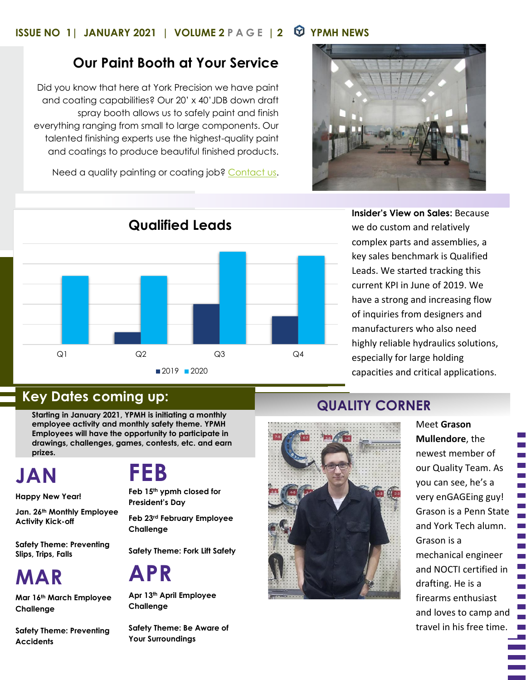## **ISSUE NO 1| JANUARY 2021 | VOLUME 2 PAGE | 2 YPMH NEWS**

## **Our Paint Booth at Your Service**

Did you know that here at York Precision we have paint and coating capabilities? Our 20' x 40'JDB down draft spray booth allows us to safely paint and finish everything ranging from small to large components. Our talented finishing experts use the highest-quality paint and coatings to produce beautiful finished products.

Need a quality painting or coating job? [Contact us.](mailto:sales@yorkpmh.com?subject=Paint%20Booth%20Inquiry%20Newsletter)





**Insider's View on Sales:** Because we do custom and relatively complex parts and assemblies, a key sales benchmark is Qualified Leads. We started tracking this current KPI in June of 2019. We have a strong and increasing flow of inquiries from designers and manufacturers who also need highly reliable hydraulics solutions, especially for large holding capacities and critical applications.

## **Key Dates coming up: CORNER AND RESPONSIVE CORNER AND RESPONSIVE CORNER AND RESPONSIVE CORNER**

**Starting in January 2021, YPMH is initiating a monthly employee activity and monthly safety theme. YPMH Employees will have the opportunity to participate in drawings, challenges, games, contests, etc. and earn prizes.**

**JAN**

**Happy New Year!**

**Jan. 26th Monthly Employee Activity Kick-off** 

**Safety Theme: Preventing Slips, Trips, Falls**

**MAR**

**Mar 16th March Employee Challenge**

**Safety Theme: Preventing Accidents**

# **FEB**

**Feb 15th ypmh closed for President's Day**

**Feb 23rd February Employee Challenge**

**Safety Theme: Fork Lift Safety**

# **APR**

**Apr 13th April Employee Challenge**

**Safety Theme: Be Aware of Your Surroundings**



Meet **Grason Mullendore**, the newest member of our Quality Team. As you can see, he's a very enGAGEing guy! Grason is a Penn State and York Tech alumn. Grason is a mechanical engineer and NOCTI certified in drafting. He is a firearms enthusiast and loves to camp and travel in his free time.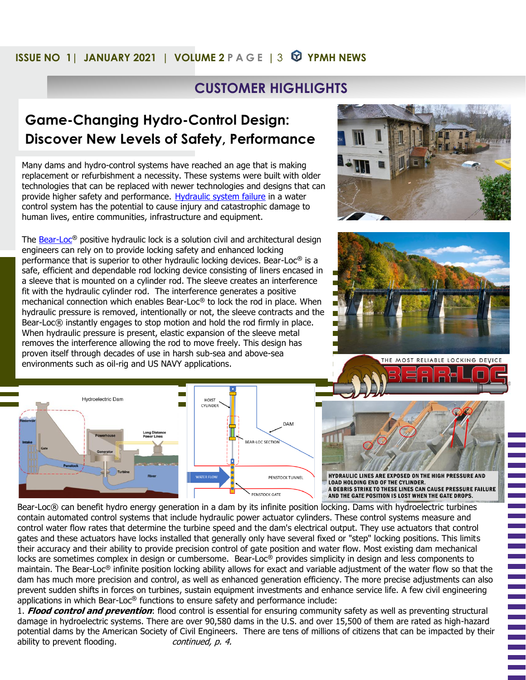## **ISSUE NO 1| JANUARY 2021 | VOLUME 2** P A G E | 3  $\bullet$  YPMH NEWS

## **CUSTOMER HIGHLIGHTS**

## **Game-Changing Hydro-Control Design: Discover New Levels of Safety, Performance**

Many dams and hydro-control systems have reached an age that is making replacement or refurbishment a necessity. These systems were built with older technologies that can be replaced with newer technologies and designs that can provide higher safety and performance. [Hydraulic system failure](https://yorkpmh.com/resources/common-hydraulic-system-problems/) in a water control system has the potential to cause injury and catastrophic damage to human lives, entire communities, infrastructure and equipment.

The [Bear-Loc](https://yorkpmh.com/products/bear-loc/)**®** positive hydraulic lock is a solution civil and architectural design engineers can rely on to provide locking safety and enhanced locking performance that is superior to other hydraulic locking devices. Bear-Loc**®** is a safe, efficient and dependable rod locking device consisting of liners encased in a sleeve that is mounted on a cylinder rod. The sleeve creates an interference fit with the hydraulic cylinder rod. The interference generates a positive mechanical connection which enables Bear-Loc**®** to lock the rod in place. When hydraulic pressure is removed, intentionally or not, the sleeve contracts and the Bear-Loc® instantly engages to stop motion and hold the rod firmly in place. When hydraulic pressure is present, elastic expansion of the sleeve metal removes the interference allowing the rod to move freely. This design has proven itself through decades of use in harsh sub-sea and above-sea environments such as oil-rig and US NAVY applications.



HYDRAULIC LINES ARE EXPOSED ON THE HIGH PRESSURE AND **LOAD HOLDING END OF THE CYLINDER.** A DEBRIS STRIKE TO THESE LINES CAN CAUSE PRESSURE FAILURE AND THE GATE POSITION IS LOST WHEN THE GATE DROPS.

Bear-Loc® can benefit hydro energy generation in a dam by its infinite position locking. Dams with hydroelectric turbines contain automated control systems that include hydraulic power actuator cylinders. These control systems measure and control water flow rates that determine the turbine speed and the dam's electrical output. They use actuators that control gates and these actuators have locks installed that generally only have several fixed or "step" locking positions. This limits their accuracy and their ability to provide precision control of gate position and water flow. Most existing dam mechanical locks are sometimes complex in design or cumbersome. Bear-Loc**®** provides simplicity in design and less components to maintain. The Bear-Loc**®** infinite position locking ability allows for exact and variable adjustment of the water flow so that the dam has much more precision and control, as well as enhanced generation efficiency. The more precise adjustments can also prevent sudden shifts in forces on turbines, sustain equipment investments and enhance service life. A few civil engineering applications in which Bear-Loc**®** functions to ensure safety and performance include:

1. **Flood control and prevention**: flood control is essential for ensuring community safety as well as preventing structural damage in hydroelectric systems. There are over 90,580 dams in the U.S. and over 15,500 of them are rated as high-hazard potential dams by the American Society of Civil Engineers. There are tens of millions of citizens that can be impacted by their ability to prevent flooding. continued, p. 4.





THE MOST RELIABLE LOCKING DEVICE